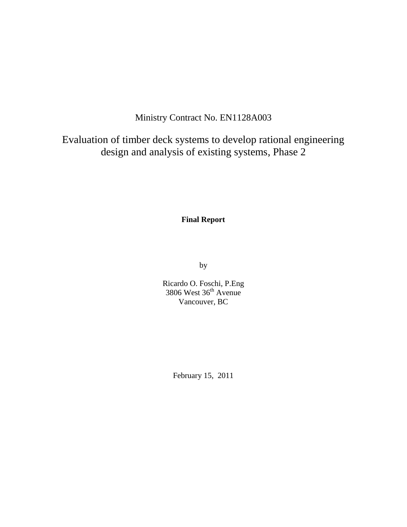# Ministry Contract No. EN1128A003

Evaluation of timber deck systems to develop rational engineering design and analysis of existing systems, Phase 2

**Final Report**

by

Ricardo O. Foschi, P.Eng  $3806$  West  $36<sup>th</sup>$  Avenue Vancouver, BC

February 15, 2011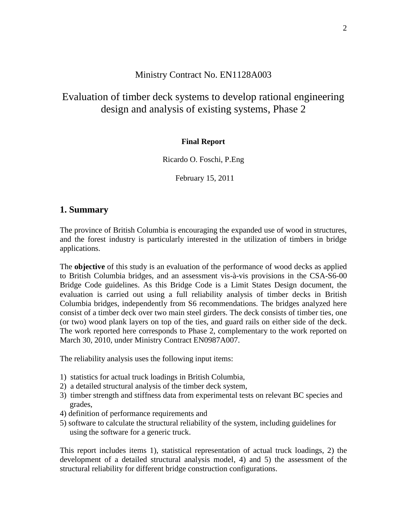# Ministry Contract No. EN1128A003

# Evaluation of timber deck systems to develop rational engineering design and analysis of existing systems, Phase 2

### **Final Report**

Ricardo O. Foschi, P.Eng

February 15, 2011

### **1. Summary**

The province of British Columbia is encouraging the expanded use of wood in structures, and the forest industry is particularly interested in the utilization of timbers in bridge applications.

The **objective** of this study is an evaluation of the performance of wood decks as applied to British Columbia bridges, and an assessment vis-à-vis provisions in the CSA-S6-00 Bridge Code guidelines. As this Bridge Code is a Limit States Design document, the evaluation is carried out using a full reliability analysis of timber decks in British Columbia bridges, independently from S6 recommendations. The bridges analyzed here consist of a timber deck over two main steel girders. The deck consists of timber ties, one (or two) wood plank layers on top of the ties, and guard rails on either side of the deck. The work reported here corresponds to Phase 2, complementary to the work reported on March 30, 2010, under Ministry Contract EN0987A007.

The reliability analysis uses the following input items:

- 1) statistics for actual truck loadings in British Columbia,
- 2) a detailed structural analysis of the timber deck system,
- 3) timber strength and stiffness data from experimental tests on relevant BC species and grades,
- 4) definition of performance requirements and
- 5) software to calculate the structural reliability of the system, including guidelines for using the software for a generic truck.

This report includes items 1), statistical representation of actual truck loadings, 2) the development of a detailed structural analysis model, 4) and 5) the assessment of the structural reliability for different bridge construction configurations.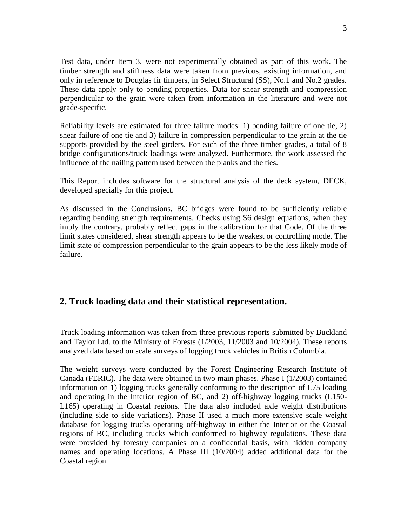Test data, under Item 3, were not experimentally obtained as part of this work. The timber strength and stiffness data were taken from previous, existing information, and only in reference to Douglas fir timbers, in Select Structural (SS), No.1 and No.2 grades. These data apply only to bending properties. Data for shear strength and compression perpendicular to the grain were taken from information in the literature and were not grade-specific.

Reliability levels are estimated for three failure modes: 1) bending failure of one tie, 2) shear failure of one tie and 3) failure in compression perpendicular to the grain at the tie supports provided by the steel girders. For each of the three timber grades, a total of 8 bridge configurations/truck loadings were analyzed. Furthermore, the work assessed the influence of the nailing pattern used between the planks and the ties.

This Report includes software for the structural analysis of the deck system, DECK, developed specially for this project.

As discussed in the Conclusions, BC bridges were found to be sufficiently reliable regarding bending strength requirements. Checks using S6 design equations, when they imply the contrary, probably reflect gaps in the calibration for that Code. Of the three limit states considered, shear strength appears to be the weakest or controlling mode. The limit state of compression perpendicular to the grain appears to be the less likely mode of failure.

# **2. Truck loading data and their statistical representation.**

Truck loading information was taken from three previous reports submitted by Buckland and Taylor Ltd. to the Ministry of Forests (1/2003, 11/2003 and 10/2004). These reports analyzed data based on scale surveys of logging truck vehicles in British Columbia.

The weight surveys were conducted by the Forest Engineering Research Institute of Canada (FERIC). The data were obtained in two main phases. Phase I (1/2003) contained information on 1) logging trucks generally conforming to the description of L75 loading and operating in the Interior region of BC, and 2) off-highway logging trucks (L150- L165) operating in Coastal regions. The data also included axle weight distributions (including side to side variations). Phase II used a much more extensive scale weight database for logging trucks operating off-highway in either the Interior or the Coastal regions of BC, including trucks which conformed to highway regulations. These data were provided by forestry companies on a confidential basis, with hidden company names and operating locations. A Phase III (10/2004) added additional data for the Coastal region.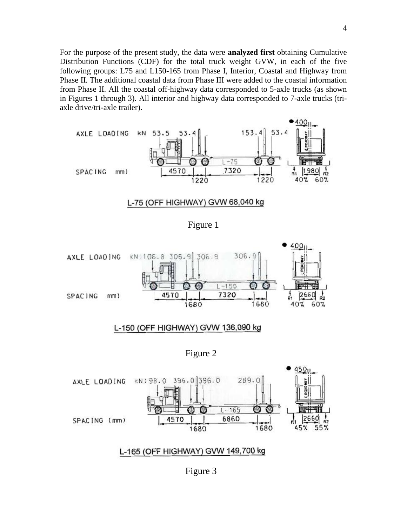For the purpose of the present study, the data were **analyzed first** obtaining Cumulative Distribution Functions (CDF) for the total truck weight GVW, in each of the five following groups: L75 and L150-165 from Phase I, Interior, Coastal and Highway from Phase II. The additional coastal data from Phase III were added to the coastal information from Phase II. All the coastal off-highway data corresponded to 5-axle trucks (as shown in Figures 1 through 3). All interior and highway data corresponded to 7-axle trucks (triaxle drive/tri-axle trailer).



#### L-75 (OFF HIGHWAY) GVW 68,040 kg





Figure 3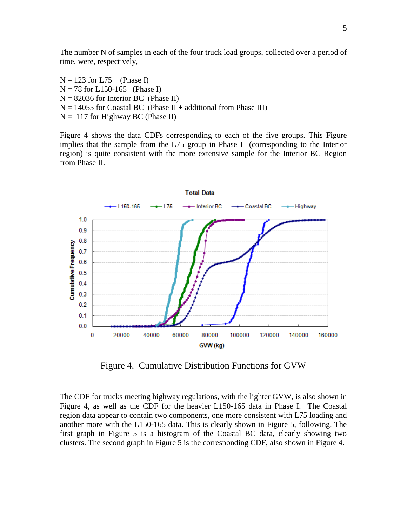The number N of samples in each of the four truck load groups, collected over a period of time, were, respectively,

 $N = 123$  for L75 (Phase I)  $N = 78$  for L150-165 (Phase I)  $N = 82036$  for Interior BC (Phase II)  $N = 14055$  for Coastal BC (Phase II + additional from Phase III)  $N = 117$  for Highway BC (Phase II)

Figure 4 shows the data CDFs corresponding to each of the five groups. This Figure implies that the sample from the L75 group in Phase I (corresponding to the Interior region) is quite consistent with the more extensive sample for the Interior BC Region from Phase II.



Figure 4. Cumulative Distribution Functions for GVW

The CDF for trucks meeting highway regulations, with the lighter GVW, is also shown in Figure 4, as well as the CDF for the heavier L150-165 data in Phase I. The Coastal region data appear to contain two components, one more consistent with L75 loading and another more with the L150-165 data. This is clearly shown in Figure 5, following. The first graph in Figure 5 is a histogram of the Coastal BC data, clearly showing two clusters. The second graph in Figure 5 is the corresponding CDF, also shown in Figure 4.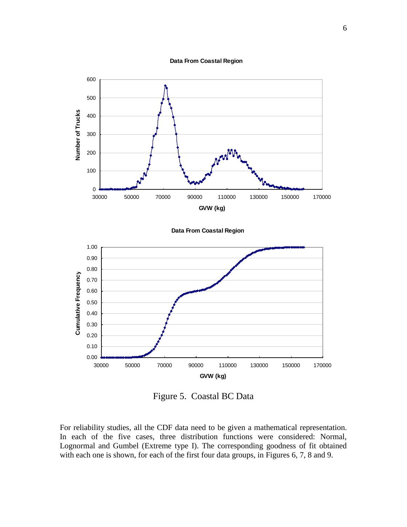



Figure 5. Coastal BC Data

For reliability studies, all the CDF data need to be given a mathematical representation. In each of the five cases, three distribution functions were considered: Normal, Lognormal and Gumbel (Extreme type I). The corresponding goodness of fit obtained with each one is shown, for each of the first four data groups, in Figures 6, 7, 8 and 9.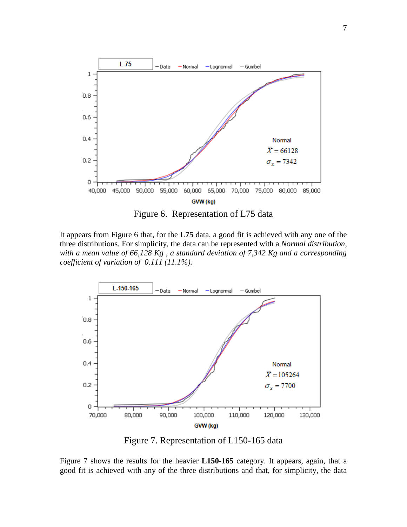



It appears from Figure 6 that, for the **L75** data, a good fit is achieved with any one of the three distributions. For simplicity, the data can be represented with a *Normal distribution, with a mean value of 66,128 Kg , a standard deviation of 7,342 Kg and a corresponding coefficient of variation of 0.111 (11.1%).*



Figure 7. Representation of L150-165 data

Figure 7 shows the results for the heavier **L150-165** category. It appears, again, that a good fit is achieved with any of the three distributions and that, for simplicity, the data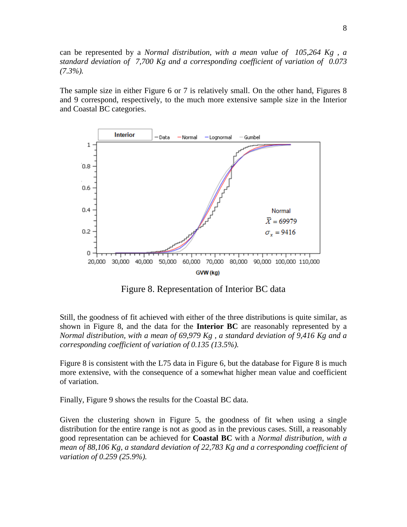can be represented by a *Normal distribution, with a mean value of 105,264 Kg , a standard deviation of 7,700 Kg and a corresponding coefficient of variation of 0.073 (7.3%).*

The sample size in either Figure 6 or 7 is relatively small. On the other hand, Figures 8 and 9 correspond, respectively, to the much more extensive sample size in the Interior and Coastal BC categories.



Figure 8. Representation of Interior BC data

Still, the goodness of fit achieved with either of the three distributions is quite similar, as shown in Figure 8, and the data for the **Interior BC** are reasonably represented by a *Normal distribution, with a mean of 69,979 Kg , a standard deviation of 9,416 Kg and a corresponding coefficient of variation of 0.135 (13.5%).*

Figure 8 is consistent with the L75 data in Figure 6, but the database for Figure 8 is much more extensive, with the consequence of a somewhat higher mean value and coefficient of variation.

Finally, Figure 9 shows the results for the Coastal BC data.

Given the clustering shown in Figure 5, the goodness of fit when using a single distribution for the entire range is not as good as in the previous cases. Still, a reasonably good representation can be achieved for **Coastal BC** with a *Normal distribution, with a mean of 88,106 Kg, a standard deviation of 22,783 Kg and a corresponding coefficient of variation of 0.259 (25.9%).*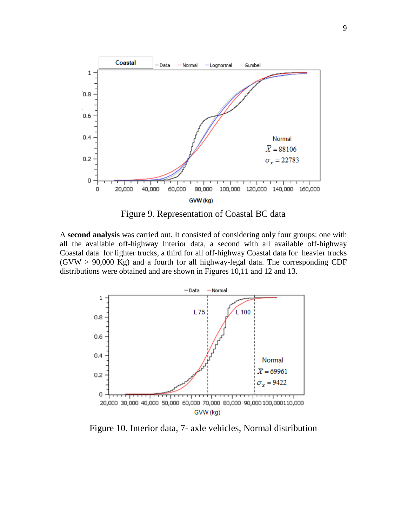

Figure 9. Representation of Coastal BC data

A **second analysis** was carried out. It consisted of considering only four groups: one with all the available off-highway Interior data, a second with all available off-highway Coastal data for lighter trucks, a third for all off-highway Coastal data for heavier trucks  $(GVW > 90,000$  Kg) and a fourth for all highway-legal data. The corresponding CDF distributions were obtained and are shown in Figures 10,11 and 12 and 13.



Figure 10. Interior data, 7- axle vehicles, Normal distribution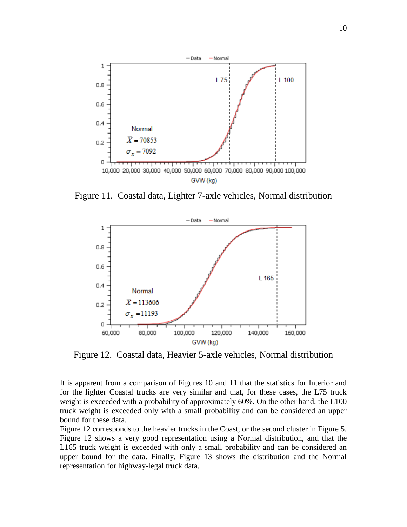

Figure 11. Coastal data, Lighter 7-axle vehicles, Normal distribution



Figure 12. Coastal data, Heavier 5-axle vehicles, Normal distribution

It is apparent from a comparison of Figures 10 and 11 that the statistics for Interior and for the lighter Coastal trucks are very similar and that, for these cases, the L75 truck weight is exceeded with a probability of approximately 60%. On the other hand, the L100 truck weight is exceeded only with a small probability and can be considered an upper bound for these data.

Figure 12 corresponds to the heavier trucks in the Coast, or the second cluster in Figure 5. Figure 12 shows a very good representation using a Normal distribution, and that the L165 truck weight is exceeded with only a small probability and can be considered an upper bound for the data. Finally, Figure 13 shows the distribution and the Normal representation for highway-legal truck data.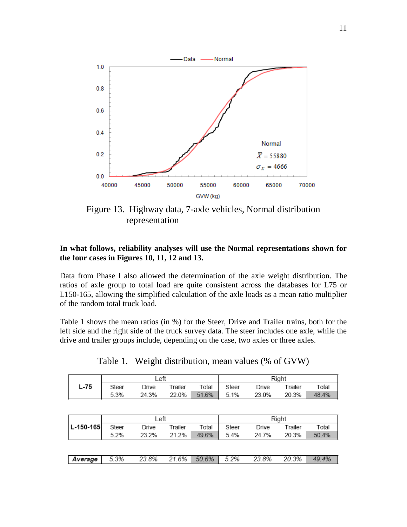

Figure 13. Highway data, 7-axle vehicles, Normal distribution representation

### **In what follows, reliability analyses will use the Normal representations shown for the four cases in Figures 10, 11, 12 and 13.**

Data from Phase I also allowed the determination of the axle weight distribution. The ratios of axle group to total load are quite consistent across the databases for L75 or L150-165, allowing the simplified calculation of the axle loads as a mean ratio multiplier of the random total truck load.

Table 1 shows the mean ratios (in %) for the Steer, Drive and Trailer trains, both for the left side and the right side of the truck survey data. The steer includes one axle, while the drive and trailer groups include, depending on the case, two axles or three axles.

|  | Table 1. Weight distribution, mean values (% of GVW) |
|--|------------------------------------------------------|
|  | $\Box$                                               |

|      | ∟eft  |       |         | Right |       |       |         |       |
|------|-------|-------|---------|-------|-------|-------|---------|-------|
| L-75 | Steer | ⊃rive | Trailer | Total | Steer | Orive | Trailer | Total |
|      | 5.3%  | 24.3% | 22.0%   | 51.6% | 5.1%  | 23.0% | 20.3%   | 48.4% |

|           | Left  |       |         | Right |       |       |         |       |
|-----------|-------|-------|---------|-------|-------|-------|---------|-------|
| L-150-165 | Steer | Drive | Trailer | Total | Steer | Drive | Trailer | Total |
|           | 5.2%  | 23.2% | 21.2%   | 49.6% | 5.4%  | 24.7% | 20.3%   | 50.4% |
|           |       |       |         |       |       |       |         |       |
|           |       |       |         |       |       |       |         |       |
| Average   | 5.3%  | 23.8% | 21.6%   | 50.6% | 5.2%  | 23.8% | 20.3%   | 49.4% |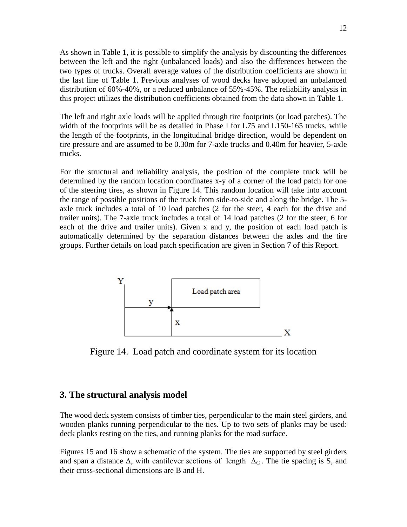As shown in Table 1, it is possible to simplify the analysis by discounting the differences between the left and the right (unbalanced loads) and also the differences between the two types of trucks. Overall average values of the distribution coefficients are shown in the last line of Table 1. Previous analyses of wood decks have adopted an unbalanced distribution of 60%-40%, or a reduced unbalance of 55%-45%. The reliability analysis in this project utilizes the distribution coefficients obtained from the data shown in Table 1.

The left and right axle loads will be applied through tire footprints (or load patches). The width of the footprints will be as detailed in Phase I for L75 and L150-165 trucks, while the length of the footprints, in the longitudinal bridge direction, would be dependent on tire pressure and are assumed to be 0.30m for 7-axle trucks and 0.40m for heavier, 5-axle trucks.

For the structural and reliability analysis, the position of the complete truck will be determined by the random location coordinates x-y of a corner of the load patch for one of the steering tires, as shown in Figure 14. This random location will take into account the range of possible positions of the truck from side-to-side and along the bridge. The 5 axle truck includes a total of 10 load patches (2 for the steer, 4 each for the drive and trailer units). The 7-axle truck includes a total of 14 load patches (2 for the steer, 6 for each of the drive and trailer units). Given x and y, the position of each load patch is automatically determined by the separation distances between the axles and the tire groups. Further details on load patch specification are given in Section 7 of this Report.



Figure 14. Load patch and coordinate system for its location

### **3. The structural analysis model**

The wood deck system consists of timber ties, perpendicular to the main steel girders, and wooden planks running perpendicular to the ties. Up to two sets of planks may be used: deck planks resting on the ties, and running planks for the road surface.

Figures 15 and 16 show a schematic of the system. The ties are supported by steel girders and span a distance  $\Delta$ , with cantilever sections of length  $\Delta_{\rm C}$ . The tie spacing is S, and their cross-sectional dimensions are B and H.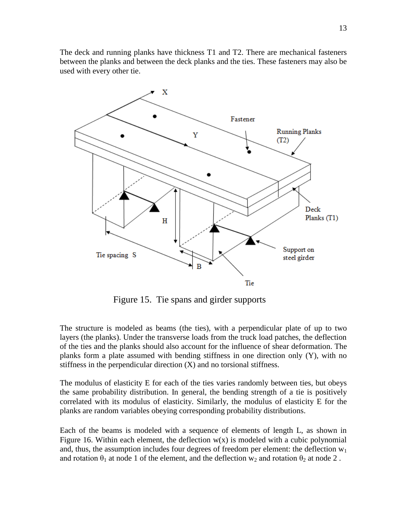The deck and running planks have thickness T1 and T2. There are mechanical fasteners between the planks and between the deck planks and the ties. These fasteners may also be used with every other tie.



Figure 15. Tie spans and girder supports

The structure is modeled as beams (the ties), with a perpendicular plate of up to two layers (the planks). Under the transverse loads from the truck load patches, the deflection of the ties and the planks should also account for the influence of shear deformation. The planks form a plate assumed with bending stiffness in one direction only (Y), with no stiffness in the perpendicular direction (X) and no torsional stiffness.

The modulus of elasticity E for each of the ties varies randomly between ties, but obeys the same probability distribution. In general, the bending strength of a tie is positively correlated with its modulus of elasticity. Similarly, the modulus of elasticity E for the planks are random variables obeying corresponding probability distributions.

Each of the beams is modeled with a sequence of elements of length L, as shown in Figure 16. Within each element, the deflection  $w(x)$  is modeled with a cubic polynomial and, thus, the assumption includes four degrees of freedom per element: the deflection  $w_1$ and rotation  $\theta_1$  at node 1 of the element, and the deflection w<sub>2</sub> and rotation  $\theta_2$  at node 2.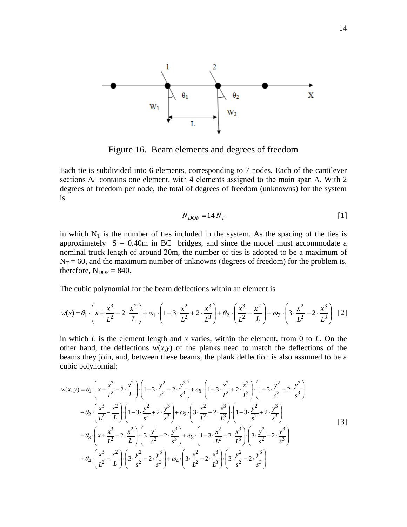

Figure 16. Beam elements and degrees of freedom

Each tie is subdivided into 6 elements, corresponding to 7 nodes. Each of the cantilever sections  $\Delta_C$  contains one element, with 4 elements assigned to the main span  $\Delta$ . With 2 degrees of freedom per node, the total of degrees of freedom (unknowns) for the system is

$$
N_{DOF} = 14 N_T
$$
 [1]

in which  $N_T$  is the number of ties included in the system. As the spacing of the ties is approximately  $S = 0.40m$  in BC bridges, and since the model must accommodate a nominal truck length of around 20m, the number of ties is adopted to be a maximum of  $N_T = 60$ , and the maximum number of unknowns (degrees of freedom) for the problem is, therefore,  $N_{DOF} = 840$ .

The cubic polynomial for the beam deflections within an element is

$$
w(x) = \theta_1 \cdot \left(x + \frac{x^3}{L^2} - 2 \cdot \frac{x^2}{L}\right) + \omega_1 \cdot \left(1 - 3 \cdot \frac{x^2}{L^2} + 2 \cdot \frac{x^3}{L^3}\right) + \theta_2 \cdot \left(\frac{x^3}{L^2} - \frac{x^2}{L}\right) + \omega_2 \cdot \left(3 \cdot \frac{x^2}{L^2} - 2 \cdot \frac{x^3}{L^3}\right) \tag{2}
$$

in which *L* is the element length and *x* varies, within the element, from 0 to *L*. On the other hand, the deflections  $w(x, y)$  of the planks need to match the deflections of the beams they join, and, between these beams, the plank deflection is also assumed to be a cubic polynomial:

$$
w(x, y) = \theta_1 \cdot \left(x + \frac{x^3}{L^2} - 2 \cdot \frac{x^2}{L}\right) \cdot \left(1 - 3 \cdot \frac{y^2}{s^2} + 2 \cdot \frac{y^3}{s^3}\right) + \omega_1 \cdot \left(1 - 3 \cdot \frac{x^2}{L^2} + 2 \cdot \frac{x^3}{L^3}\right) \cdot \left(1 - 3 \cdot \frac{y^2}{s^2} + 2 \cdot \frac{y^3}{s^3}\right) + \theta_2 \cdot \left(\frac{x^3}{L^2} - \frac{x^2}{L}\right) \cdot \left(1 - 3 \cdot \frac{y^2}{s^2} + 2 \cdot \frac{y^3}{s^3}\right) + \omega_2 \cdot \left(3 \cdot \frac{x^2}{L^2} - 2 \cdot \frac{x^3}{L^3}\right) \cdot \left(1 - 3 \cdot \frac{y^2}{s^2} + 2 \cdot \frac{y^3}{s^3}\right) + \theta_3 \cdot \left(x + \frac{x^3}{L^2} - 2 \cdot \frac{x^2}{L}\right) \cdot \left(3 \cdot \frac{y^2}{s^2} - 2 \cdot \frac{y^3}{s^3}\right) + \omega_3 \cdot \left(1 - 3 \cdot \frac{x^2}{L^2} + 2 \cdot \frac{x^3}{L^3}\right) \cdot \left(3 \cdot \frac{y^2}{s^2} - 2 \cdot \frac{y^3}{s^3}\right) + \theta_4 \cdot \left(\frac{x^3}{L^2} - \frac{x^2}{L}\right) \cdot \left(3 \cdot \frac{y^2}{s^2} - 2 \cdot \frac{y^3}{s^3}\right) + \omega_4 \cdot \left(3 \cdot \frac{x^2}{L^2} - 2 \cdot \frac{x^3}{L^3}\right) \cdot \left(3 \cdot \frac{y^2}{s^2} - 2 \cdot \frac{y^3}{s^3}\right)
$$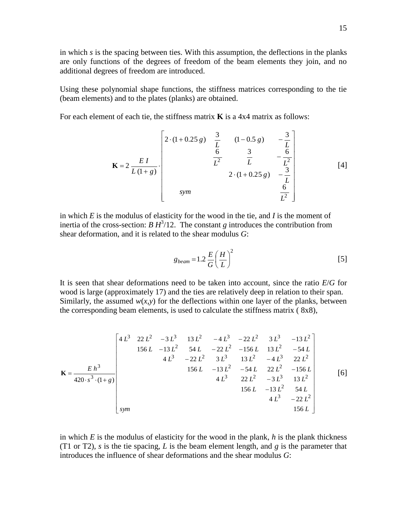in which *s* is the spacing between ties. With this assumption, the deflections in the planks are only functions of the degrees of freedom of the beam elements they join, and no additional degrees of freedom are introduced.

Using these polynomial shape functions, the stiffness matrices corresponding to the tie (beam elements) and to the plates (planks) are obtained.

For each element of each tie, the stiffness matrix **K** is a 4x4 matrix as follows:

$$
\mathbf{K} = 2 \frac{EI}{L(1+g)}
$$
\n
$$
\mathbf{K} = \frac{2 \times \frac{EI}{L(1+g)}}{L(1+g)}
$$
\n
$$
\mathbf{K} = \frac{2 \times \frac{EI}{L(1+g)}}{L^2} \qquad \frac{\frac{3}{2}}{2 \times (1+0.25g)} - \frac{\frac{3}{2}}{\frac{1}{2}} \qquad [4]
$$
\n
$$
\frac{6}{L^2}
$$
\n
$$
\frac{7}{2} \qquad \frac{3}{2}
$$

in which *E* is the modulus of elasticity for the wood in the tie, and *I* is the moment of inertia of the cross-section: *B*  $H^3/12$ . The constant *g* introduces the contribution from shear deformation, and it is related to the shear modulus *G*:

$$
g_{beam} = 1.2 \frac{E}{G} \left(\frac{H}{L}\right)^2 \tag{5}
$$

It is seen that shear deformations need to be taken into account, since the ratio *E*/*G* for wood is large (approximately 17) and the ties are relatively deep in relation to their span. Similarly, the assumed  $w(x, y)$  for the deflections within one layer of the planks, between the corresponding beam elements, is used to calculate the stiffness matrix ( 8x8),

$$
\mathbf{K} = \frac{E h^3}{420 \cdot s^3 \cdot (1+g)}
$$
\n
$$
\begin{bmatrix}\n4 L^3 & 22 L^2 & -3 L^3 & 13 L^2 & -4 L^3 & -22 L^2 & 3 L^3 & -13 L^2 \\
156 L & -13 L^2 & 54 L & -22 L^2 & -156 L & 13 L^2 & -54 L \\
4 L^3 & -22 L^2 & 3 L^3 & 13 L^2 & -4 L^3 & 22 L^2 \\
156 L & -13 L^2 & -54 L & 22 L^2 & -156 L \\
4 L^3 & 22 L^2 & -3 L^3 & 13 L^2 \\
156 L & -13 L^2 & 54 L \\
156 L & -13 L^2 & 54 L \\
4 L^3 & -22 L^2\n\end{bmatrix}
$$
\n
$$
\begin{bmatrix}\n6 \\
156 L & -13 L^2 & -13 L^2 & -156 L \\
156 L & -13 L^2 & -156 L \\
156 L & -13 L^2 & 54 L \\
156 L & 156 L\n\end{bmatrix}
$$

in which *E* is the modulus of elasticity for the wood in the plank, *h* is the plank thickness (T1 or T2), *s* is the tie spacing, *L* is the beam element length, and *g* is the parameter that introduces the influence of shear deformations and the shear modulus *G*: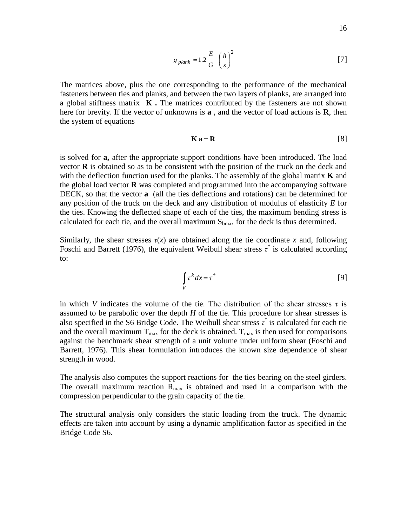$$
g_{\text{plank}} = 1.2 \frac{E}{G} \left(\frac{h}{s}\right)^2 \tag{7}
$$

The matrices above, plus the one corresponding to the performance of the mechanical fasteners between ties and planks, and between the two layers of planks, are arranged into a global stiffness matrix **K .** The matrices contributed by the fasteners are not shown here for brevity. If the vector of unknowns is **a** , and the vector of load actions is **R**, then the system of equations

$$
\mathbf{K}\,\mathbf{a} = \mathbf{R} \tag{8}
$$

is solved for **a,** after the appropriate support conditions have been introduced. The load vector **R** is obtained so as to be consistent with the position of the truck on the deck and with the deflection function used for the planks. The assembly of the global matrix **K** and the global load vector **R** was completed and programmed into the accompanying software DECK, so that the vector **a** (all the ties deflections and rotations) can be determined for any position of the truck on the deck and any distribution of modulus of elasticity *E* for the ties. Knowing the deflected shape of each of the ties, the maximum bending stress is calculated for each tie, and the overall maximum  $S_{bmax}$  for the deck is thus determined.

Similarly, the shear stresses  $\tau(x)$  are obtained along the tie coordinate x and, following Foschi and Barrett (1976), the equivalent Weibull shear stress  $\tau^*$  is calculated according to:

$$
\int_{V} \tau^{k} dx = \tau^{*}
$$
 [9]

in which *V* indicates the volume of the tie. The distribution of the shear stresses  $\tau$  is assumed to be parabolic over the depth *H* of the tie. This procedure for shear stresses is also specified in the S6 Bridge Code. The Weibull shear stress  $\tau^*$  is calculated for each tie and the overall maximum  $T_{\text{max}}$  for the deck is obtained.  $T_{\text{max}}$  is then used for comparisons against the benchmark shear strength of a unit volume under uniform shear (Foschi and Barrett, 1976). This shear formulation introduces the known size dependence of shear strength in wood.

The analysis also computes the support reactions for the ties bearing on the steel girders. The overall maximum reaction  $R_{\text{max}}$  is obtained and used in a comparison with the compression perpendicular to the grain capacity of the tie.

The structural analysis only considers the static loading from the truck. The dynamic effects are taken into account by using a dynamic amplification factor as specified in the Bridge Code S6.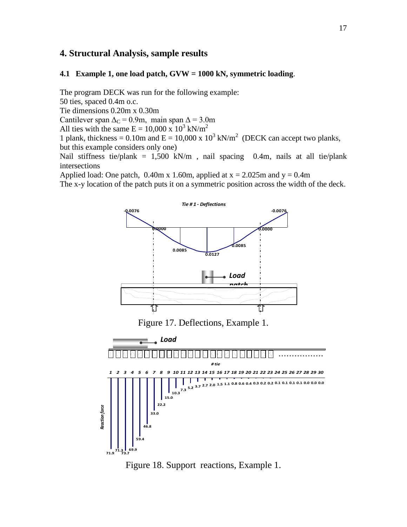# **4. Structural Analysis, sample results**

#### **4.1 Example 1, one load patch, GVW = 1000 kN, symmetric loading**.

The program DECK was run for the following example:

50 ties, spaced 0.4m o.c.

Tie dimensions 0.20m x 0.30m

Cantilever span  $\Delta$ <sub>C</sub> = 0.9m, main span  $\Delta$  = 3.0m

All ties with the same  $E = 10,000 \times 10^3$  kN/m<sup>2</sup>

1 plank, thickness = 0.10m and  $E = 10,000 \times 10^3$  kN/m<sup>2</sup> (DECK can accept two planks, but this example considers only one)

Nail stiffness tie/plank =  $1,500$  kN/m, nail spacing 0.4m, nails at all tie/plank intersections

Applied load: One patch,  $0.40$ m x 1.60m, applied at x = 2.025m and y = 0.4m

The x-y location of the patch puts it on a symmetric position across the width of the deck.



Figure 17. Deflections, Example 1.



Figure 18. Support reactions, Example 1.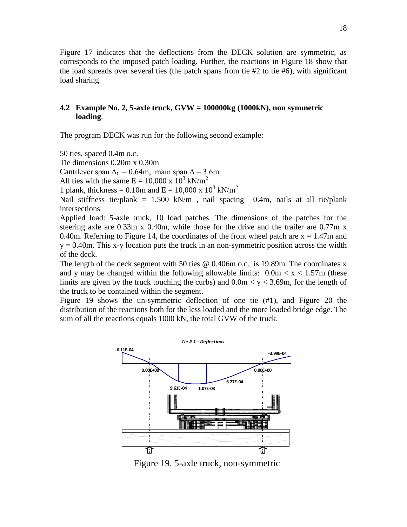Figure 17 indicates that the deflections from the DECK solution are symmetric, as corresponds to the imposed patch loading. Further, the reactions in Figure 18 show that the load spreads over several ties (the patch spans from tie  $#2$  to tie  $#6$ ), with significant load sharing.

### **4.2 Example No. 2, 5-axle truck, GVW = 100000kg (1000kN), non symmetric loading**.

The program DECK was run for the following second example:

50 ties, spaced 0.4m o.c.

Tie dimensions 0.20m x 0.30m

Cantilever span  $\Delta$ <sub>C</sub> = 0.64m, main span  $\Delta$  = 3.6m

All ties with the same  $E = 10,000 \times 10^3 \text{ kN/m}^2$ 

1 plank, thickness = 0.10m and  $E = 10,000 \times 10^3$  kN/m<sup>2</sup>

Nail stiffness tie/plank = 1,500 kN/m, nail spacing 0.4m, nails at all tie/plank intersections

Applied load: 5-axle truck, 10 load patches. The dimensions of the patches for the steering axle are 0.33m x 0.40m, while those for the drive and the trailer are 0.77m x 0.40m. Referring to Figure 14, the coordinates of the front wheel patch are  $x = 1.47$ m and  $y = 0.40$ m. This x-y location puts the truck in an non-symmetric position across the width of the deck.

The length of the deck segment with 50 ties @ 0.406m o.c. is 19.89m. The coordinates x and y may be changed within the following allowable limits:  $0.0 \text{m} < x < 1.57 \text{m}$  (these limits are given by the truck touching the curbs) and  $0.0 \text{m} < y < 3.69 \text{m}$ , for the length of the truck to be contained within the segment.

Figure 19 shows the un-symmetric deflection of one tie (#1), and Figure 20 the distribution of the reactions both for the less loaded and the more loaded bridge edge. The sum of all the reactions equals 1000 kN, the total GVW of the truck.



Figure 19. 5-axle truck, non-symmetric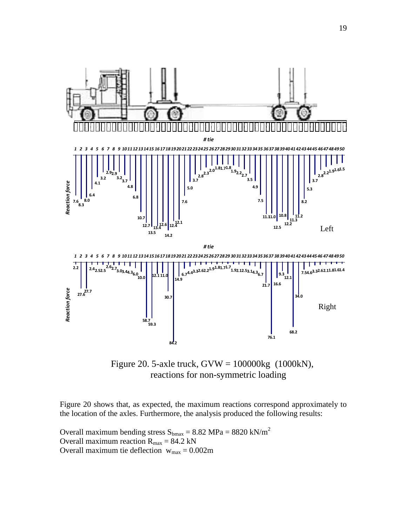

 Figure 20. 5-axle truck, GVW = 100000kg (1000kN), reactions for non-symmetric loading

Figure 20 shows that, as expected, the maximum reactions correspond approximately to the location of the axles. Furthermore, the analysis produced the following results:

Overall maximum bending stress  $S_{bmax} = 8.82 \text{ MPa} = 8820 \text{ kN/m}^2$ Overall maximum reaction  $R_{\text{max}} = 84.2 \text{ kN}$ Overall maximum tie deflection  $w_{max} = 0.002m$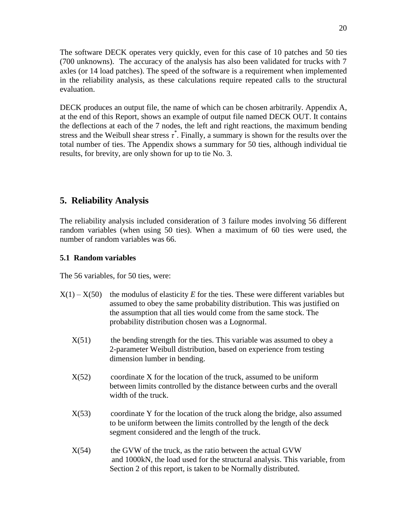The software DECK operates very quickly, even for this case of 10 patches and 50 ties (700 unknowns). The accuracy of the analysis has also been validated for trucks with 7 axles (or 14 load patches). The speed of the software is a requirement when implemented in the reliability analysis, as these calculations require repeated calls to the structural evaluation.

DECK produces an output file, the name of which can be chosen arbitrarily. Appendix A, at the end of this Report, shows an example of output file named DECK OUT. It contains the deflections at each of the 7 nodes, the left and right reactions, the maximum bending stress and the Weibull shear stress  $\tau^*$ . Finally, a summary is shown for the results over the total number of ties. The Appendix shows a summary for 50 ties, although individual tie results, for brevity, are only shown for up to tie No. 3.

# **5. Reliability Analysis**

The reliability analysis included consideration of 3 failure modes involving 56 different random variables (when using 50 ties). When a maximum of 60 ties were used, the number of random variables was 66.

### **5.1 Random variables**

The 56 variables, for 50 ties, were:

| $X(1) - X(50)$ the modulus of elasticity E for the ties. These were different variables but |
|---------------------------------------------------------------------------------------------|
| assumed to obey the same probability distribution. This was justified on                    |
| the assumption that all ties would come from the same stock. The                            |
| probability distribution chosen was a Lognormal.                                            |

- $X(51)$  the bending strength for the ties. This variable was assumed to obey a 2-parameter Weibull distribution, based on experience from testing dimension lumber in bending.
- $X(52)$  coordinate X for the location of the truck, assumed to be uniform between limits controlled by the distance between curbs and the overall width of the truck.
- X(53) coordinate Y for the location of the truck along the bridge, also assumed to be uniform between the limits controlled by the length of the deck segment considered and the length of the truck.
- $X(54)$  the GVW of the truck, as the ratio between the actual GVW and 1000kN, the load used for the structural analysis. This variable, from Section 2 of this report, is taken to be Normally distributed.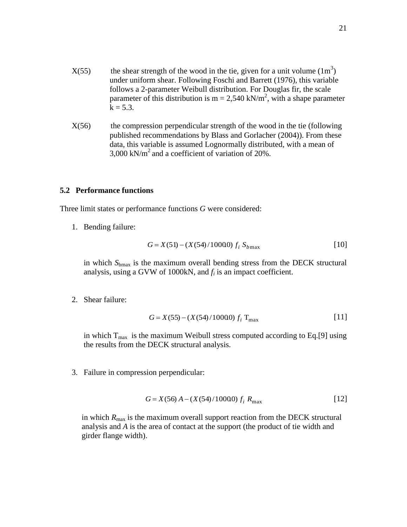- $X(55)$  the shear strength of the wood in the tie, given for a unit volume  $(1m<sup>3</sup>)$  under uniform shear. Following Foschi and Barrett (1976), this variable follows a 2-parameter Weibull distribution. For Douglas fir, the scale parameter of this distribution is  $m = 2,540$  kN/m<sup>2</sup>, with a shape parameter  $k = 5.3$ .
	- $X(56)$  the compression perpendicular strength of the wood in the tie (following published recommendations by Blass and Gorlacher (2004)). From these data, this variable is assumed Lognormally distributed, with a mean of 3,000 kN/ $m<sup>2</sup>$  and a coefficient of variation of 20%.

### **5.2 Performance functions**

Three limit states or performance functions *G* were considered:

1. Bending failure:

$$
G = X(51) - (X(54)/10000) f_i S_{bmax}
$$
 [10]

in which *S*bmax is the maximum overall bending stress from the DECK structural analysis, using a GVW of 1000kN, and *f<sup>i</sup>* is an impact coefficient.

2. Shear failure:

$$
G = X(55) - (X(54)/10000) f_i \, T_{\text{max}} \tag{11}
$$

in which  $T_{\text{max}}$  is the maximum Weibull stress computed according to Eq.[9] using the results from the DECK structural analysis.

3. Failure in compression perpendicular:

$$
G = X(56) A - (X(54)/10000) f_i R_{\text{max}}
$$
 [12]

in which  $R_{\text{max}}$  is the maximum overall support reaction from the DECK structural analysis and *A* is the area of contact at the support (the product of tie width and girder flange width).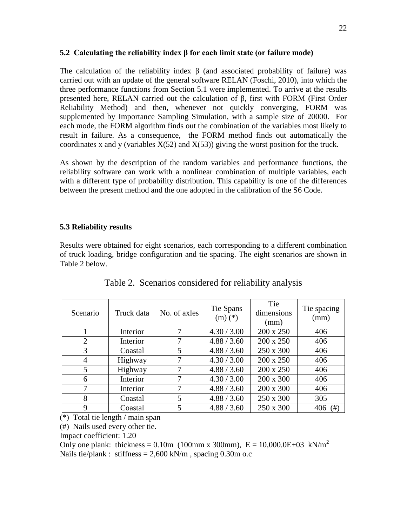### **5.2 Calculating the reliability index β for each limit state (or failure mode)**

The calculation of the reliability index  $\beta$  (and associated probability of failure) was carried out with an update of the general software RELAN (Foschi, 2010), into which the three performance functions from Section 5.1 were implemented. To arrive at the results presented here, RELAN carried out the calculation of β, first with FORM (First Order Reliability Method) and then, whenever not quickly converging, FORM was supplemented by Importance Sampling Simulation, with a sample size of 20000. For each mode, the FORM algorithm finds out the combination of the variables most likely to result in failure. As a consequence, the FORM method finds out automatically the coordinates x and y (variables  $X(52)$  and  $X(53)$ ) giving the worst position for the truck.

As shown by the description of the random variables and performance functions, the reliability software can work with a nonlinear combination of multiple variables, each with a different type of probability distribution. This capability is one of the differences between the present method and the one adopted in the calibration of the S6 Code.

### **5.3 Reliability results**

Results were obtained for eight scenarios, each corresponding to a different combination of truck loading, bridge configuration and tie spacing. The eight scenarios are shown in Table 2 below.

| Scenario       | Truck data | No. of axles | Tie Spans<br>$(m)$ $(*)$ | Tie<br>dimensions<br>(mm) | Tie spacing<br>(mm) |
|----------------|------------|--------------|--------------------------|---------------------------|---------------------|
|                | Interior   |              | 4.30 / 3.00              | 200 x 250                 | 406                 |
| $\overline{2}$ | Interior   |              | 4.88 / 3.60              | 200 x 250                 | 406                 |
| 3              | Coastal    | 5            | 4.88 / 3.60              | 250 x 300                 | 406                 |
| $\overline{4}$ | Highway    |              | 4.30 / 3.00              | 200 x 250                 | 406                 |
| 5              | Highway    |              | 4.88 / 3.60              | 200 x 250                 | 406                 |
| 6              | Interior   |              | 4.30 / 3.00              | 200 x 300                 | 406                 |
| 7              | Interior   |              | 4.88 / 3.60              | 200 x 300                 | 406                 |
| 8              | Coastal    | 5            | 4.88 / 3.60              | 250 x 300                 | 305                 |
| 9              | Coastal    | 5            | 4.88 / 3.60              | 250 x 300                 | 406<br>(# )         |

Table 2. Scenarios considered for reliability analysis

(\*) Total tie length / main span

(#) Nails used every other tie.

Impact coefficient: 1.20

Only one plank: thickness = 0.10m (100mm x 300mm),  $E = 10,000.0E + 03$  kN/m<sup>2</sup> Nails tie/plank : stiffness =  $2,600 \text{ kN/m}$ , spacing 0.30m o.c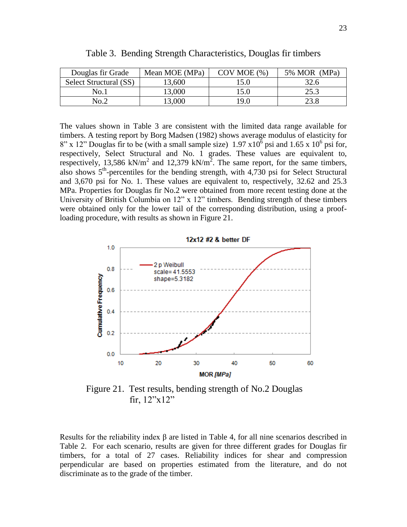| Douglas fir Grade      | Mean MOE (MPa) | $COV$ MOE $(\% )$ | 5% MOR<br>(MPa) |
|------------------------|----------------|-------------------|-----------------|
| Select Structural (SS) | 13,600         | 5.0               | 32.6            |
| No.1                   | 13,000         | .5.0              | 25.3            |
| No.2                   | 13,000         | <b>9.0</b>        | 23.8            |

Table 3. Bending Strength Characteristics, Douglas fir timbers

The values shown in Table 3 are consistent with the limited data range available for timbers. A testing report by Borg Madsen (1982) shows average modulus of elasticity for  $8''$  x 12" Douglas fir to be (with a small sample size) 1.97 x10<sup>6</sup> psi and 1.65 x 10<sup>6</sup> psi for, respectively, Select Structural and No. 1 grades. These values are equivalent to, respectively, 13,586 kN/m<sup>2</sup> and 12,379 kN/m<sup>2</sup>. The same report, for the same timbers, also shows  $5<sup>th</sup>$ -percentiles for the bending strength, with 4,730 psi for Select Structural and 3,670 psi for No. 1. These values are equivalent to, respectively, 32.62 and 25.3 MPa. Properties for Douglas fir No.2 were obtained from more recent testing done at the University of British Columbia on 12" x 12" timbers. Bending strength of these timbers were obtained only for the lower tail of the corresponding distribution, using a proofloading procedure, with results as shown in Figure 21.



 Figure 21. Test results, bending strength of No.2 Douglas fir, 12"x12"

Results for the reliability index  $\beta$  are listed in Table 4, for all nine scenarios described in Table 2. For each scenario, results are given for three different grades for Douglas fir timbers, for a total of 27 cases. Reliability indices for shear and compression perpendicular are based on properties estimated from the literature, and do not discriminate as to the grade of the timber.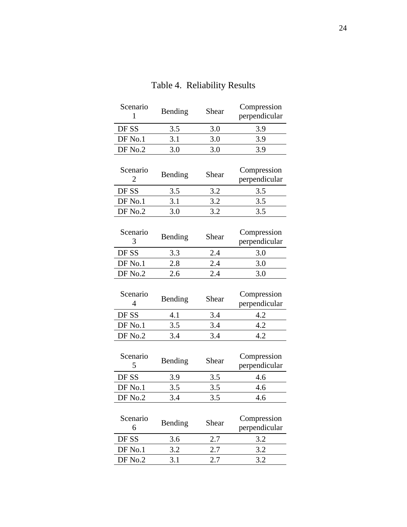| Scenario<br>1              | Bending | Shear | Compression<br>perpendicular |
|----------------------------|---------|-------|------------------------------|
| DF SS                      | 3.5     | 3.0   | 3.9                          |
| DF No.1                    | 3.1     | 3.0   | 3.9                          |
| DF No.2                    | 3.0     | 3.0   | 3.9                          |
| Scenario<br>2              | Bending | Shear | Compression<br>perpendicular |
| DF SS                      | 3.5     | 3.2   | 3.5                          |
| DF No.1                    | 3.1     | 3.2   | 3.5                          |
| DF No.2                    | 3.0     | 3.2   | 3.5                          |
| Scenario<br>3              | Bending | Shear | Compression<br>perpendicular |
| DF SS                      | 3.3     | 2.4   | 3.0                          |
| DF No.1                    | 2.8     | 2.4   | 3.0                          |
| DF No.2                    | 2.6     | 2.4   | 3.0                          |
| Scenario<br>$\overline{4}$ | Bending | Shear | Compression<br>perpendicular |
| DF SS                      | 4.1     | 3.4   | 4.2                          |
| DF No.1                    | 3.5     | 3.4   | 4.2                          |
| DF No.2                    | 3.4     | 3.4   | 4.2                          |
| Scenario<br>5              | Bending | Shear | Compression<br>perpendicular |
| DF SS                      | 3.9     | 3.5   | 4.6                          |
| DF No.1                    | 3.5     | 3.5   | 4.6                          |
| DF No.2                    | 3.4     | 3.5   | 4.6                          |
| Scenario<br>6              | Bending | Shear | Compression<br>perpendicular |
| DF SS                      | 3.6     | 2.7   | 3.2                          |
| DF No.1                    | 3.2     | 2.7   | 3.2                          |
| DF No.2                    | 3.1     | 2.7   | 3.2                          |

# Table 4. Reliability Results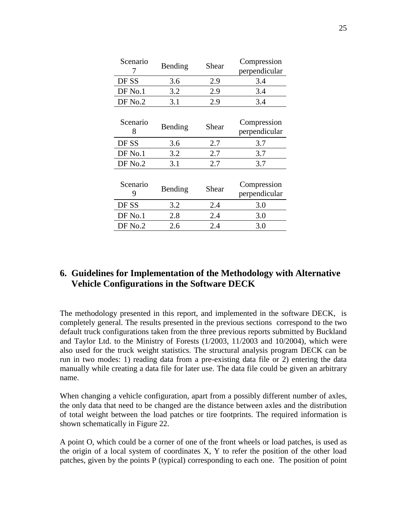| Scenario      | Bending | Shear | Compression<br>perpendicular |
|---------------|---------|-------|------------------------------|
| DF SS         | 3.6     | 2.9   | 3.4                          |
| $DF$ No.1     | 3.2     | 2.9   | 3.4                          |
| DF No.2       | 3.1     | 2.9   | 3.4                          |
| Scenario<br>8 | Bending | Shear | Compression<br>perpendicular |
| DF SS         | 3.6     | 2.7   | 3.7                          |
| $DF$ No.1     | 3.2     | 2.7   | 3.7                          |
| DF No.2       | 3.1     | 2.7   | 3.7                          |
| Scenario<br>9 | Bending | Shear | Compression<br>perpendicular |
| DF SS         | 3.2     | 2.4   | 3.0                          |
| $DF$ No.1     | 2.8     | 2.4   | 3.0                          |
| DF No.2       | 2.6     | 2.4   | 3.0                          |

# **6. Guidelines for Implementation of the Methodology with Alternative Vehicle Configurations in the Software DECK**

The methodology presented in this report, and implemented in the software DECK, is completely general. The results presented in the previous sections correspond to the two default truck configurations taken from the three previous reports submitted by Buckland and Taylor Ltd. to the Ministry of Forests (1/2003, 11/2003 and 10/2004), which were also used for the truck weight statistics. The structural analysis program DECK can be run in two modes: 1) reading data from a pre-existing data file or 2) entering the data manually while creating a data file for later use. The data file could be given an arbitrary name.

When changing a vehicle configuration, apart from a possibly different number of axles, the only data that need to be changed are the distance between axles and the distribution of total weight between the load patches or tire footprints. The required information is shown schematically in Figure 22.

A point O, which could be a corner of one of the front wheels or load patches, is used as the origin of a local system of coordinates X, Y to refer the position of the other load patches, given by the points P (typical) corresponding to each one. The position of point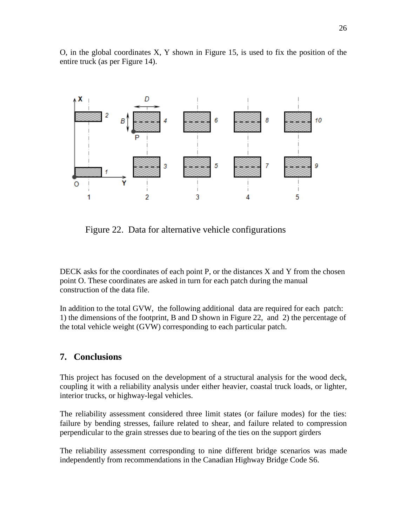O, in the global coordinates X, Y shown in Figure 15, is used to fix the position of the entire truck (as per Figure 14).



Figure 22. Data for alternative vehicle configurations

DECK asks for the coordinates of each point P, or the distances X and Y from the chosen point O. These coordinates are asked in turn for each patch during the manual construction of the data file.

In addition to the total GVW, the following additional data are required for each patch: 1) the dimensions of the footprint, B and D shown in Figure 22, and 2) the percentage of the total vehicle weight (GVW) corresponding to each particular patch.

### **7. Conclusions**

This project has focused on the development of a structural analysis for the wood deck, coupling it with a reliability analysis under either heavier, coastal truck loads, or lighter, interior trucks, or highway-legal vehicles.

The reliability assessment considered three limit states (or failure modes) for the ties: failure by bending stresses, failure related to shear, and failure related to compression perpendicular to the grain stresses due to bearing of the ties on the support girders

The reliability assessment corresponding to nine different bridge scenarios was made independently from recommendations in the Canadian Highway Bridge Code S6.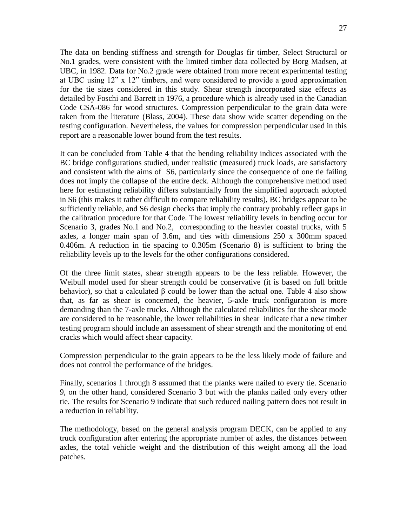The data on bending stiffness and strength for Douglas fir timber, Select Structural or No.1 grades, were consistent with the limited timber data collected by Borg Madsen, at UBC, in 1982. Data for No.2 grade were obtained from more recent experimental testing at UBC using 12" x 12" timbers, and were considered to provide a good approximation for the tie sizes considered in this study. Shear strength incorporated size effects as detailed by Foschi and Barrett in 1976, a procedure which is already used in the Canadian Code CSA-086 for wood structures. Compression perpendicular to the grain data were taken from the literature (Blass, 2004). These data show wide scatter depending on the testing configuration. Nevertheless, the values for compression perpendicular used in this report are a reasonable lower bound from the test results.

It can be concluded from Table 4 that the bending reliability indices associated with the BC bridge configurations studied, under realistic (measured) truck loads, are satisfactory and consistent with the aims of S6, particularly since the consequence of one tie failing does not imply the collapse of the entire deck. Although the comprehensive method used here for estimating reliability differs substantially from the simplified approach adopted in S6 (this makes it rather difficult to compare reliability results), BC bridges appear to be sufficiently reliable, and S6 design checks that imply the contrary probably reflect gaps in the calibration procedure for that Code. The lowest reliability levels in bending occur for Scenario 3, grades No.1 and No.2, corresponding to the heavier coastal trucks, with 5 axles, a longer main span of 3.6m, and ties with dimensions 250 x 300mm spaced 0.406m. A reduction in tie spacing to 0.305m (Scenario 8) is sufficient to bring the reliability levels up to the levels for the other configurations considered.

Of the three limit states, shear strength appears to be the less reliable. However, the Weibull model used for shear strength could be conservative (it is based on full brittle behavior), so that a calculated  $\beta$  could be lower than the actual one. Table 4 also show that, as far as shear is concerned, the heavier, 5-axle truck configuration is more demanding than the 7-axle trucks. Although the calculated reliabilities for the shear mode are considered to be reasonable, the lower reliabilities in shear indicate that a new timber testing program should include an assessment of shear strength and the monitoring of end cracks which would affect shear capacity.

Compression perpendicular to the grain appears to be the less likely mode of failure and does not control the performance of the bridges.

Finally, scenarios 1 through 8 assumed that the planks were nailed to every tie. Scenario 9, on the other hand, considered Scenario 3 but with the planks nailed only every other tie. The results for Scenario 9 indicate that such reduced nailing pattern does not result in a reduction in reliability.

The methodology, based on the general analysis program DECK, can be applied to any truck configuration after entering the appropriate number of axles, the distances between axles, the total vehicle weight and the distribution of this weight among all the load patches.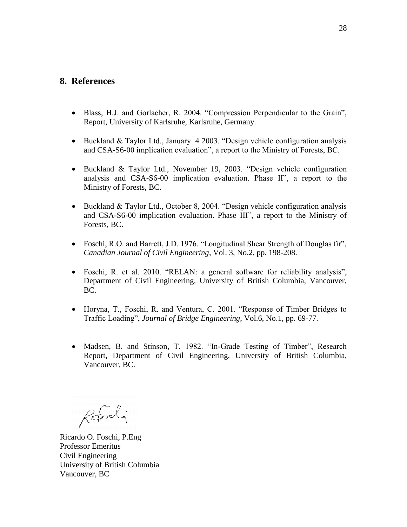## **8. References**

- Blass, H.J. and Gorlacher, R. 2004. "Compression Perpendicular to the Grain", Report, University of Karlsruhe, Karlsruhe, Germany.
- Buckland  $&$  Taylor Ltd., January 4 2003. "Design vehicle configuration analysis and CSA-S6-00 implication evaluation", a report to the Ministry of Forests, BC.
- Buckland & Taylor Ltd., November 19, 2003. "Design vehicle configuration analysis and CSA-S6-00 implication evaluation. Phase II", a report to the Ministry of Forests, BC.
- Buckland & Taylor Ltd., October 8, 2004. "Design vehicle configuration analysis and CSA-S6-00 implication evaluation. Phase III", a report to the Ministry of Forests, BC.
- Foschi, R.O. and Barrett, J.D. 1976. "Longitudinal Shear Strength of Douglas fir", *Canadian Journal of Civil Engineering*, Vol. 3, No.2, pp. 198-208.
- Foschi, R. et al. 2010. "RELAN: a general software for reliability analysis", Department of Civil Engineering, University of British Columbia, Vancouver, BC.
- Horyna, T., Foschi, R. and Ventura, C. 2001. "Response of Timber Bridges to Traffic Loading", *Journal of Bridge Engineering*, Vol.6, No.1, pp. 69-77.
- Madsen, B. and Stinson, T. 1982. "In-Grade Testing of Timber", Research Report, Department of Civil Engineering, University of British Columbia, Vancouver, BC.

Rotorly

Ricardo O. Foschi, P.Eng Professor Emeritus Civil Engineering University of British Columbia Vancouver, BC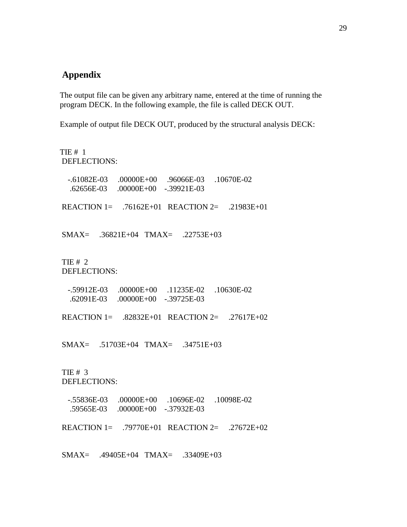# **Appendix**

The output file can be given any arbitrary name, entered at the time of running the program DECK. In the following example, the file is called DECK OUT.

Example of output file DECK OUT, produced by the structural analysis DECK:

TIE # 1 DEFLECTIONS: -.61082E-03 .00000E+00 .96066E-03 .10670E-02 .62656E-03 .00000E+00 -.39921E-03 REACTION 1= .76162E+01 REACTION 2= .21983E+01 SMAX= .36821E+04 TMAX= .22753E+03 TIE # 2 DEFLECTIONS: -.59912E-03 .00000E+00 .11235E-02 .10630E-02 .62091E-03 .00000E+00 -.39725E-03 REACTION 1= .82832E+01 REACTION 2= .27617E+02 SMAX= .51703E+04 TMAX= .34751E+03 TIE # 3 DEFLECTIONS: -.55836E-03 .00000E+00 .10696E-02 .10098E-02 .59565E-03 .00000E+00 -.37932E-03 REACTION 1= .79770E+01 REACTION 2= .27672E+02 SMAX= .49405E+04 TMAX= .33409E+03